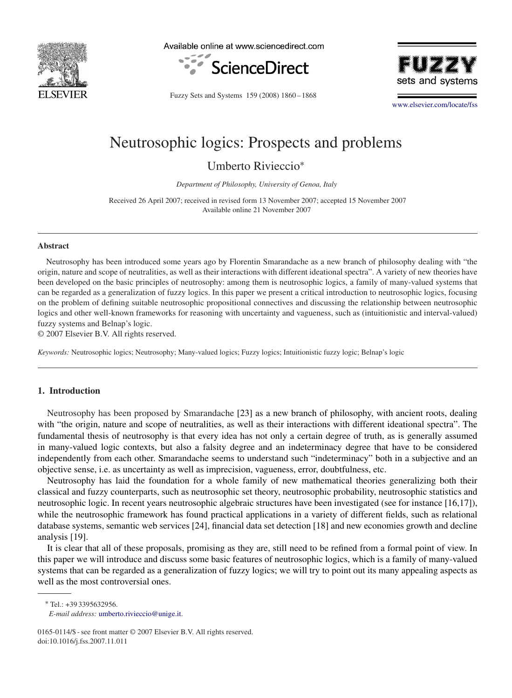

Available online at www.sciencedirect.com





Fuzzy Sets and Systems 159 (2008) 1860 – 1868

[www.elsevier.com/locate/fss](http://www.elsevier.com/locate/fss)

# Neutrosophic logics: Prospects and problems

Umberto Rivieccio<sup>∗</sup>

*Department of Philosophy, University of Genoa, Italy*

Received 26 April 2007; received in revised form 13 November 2007; accepted 15 November 2007 Available online 21 November 2007

#### **Abstract**

Neutrosophy has been introduced some years ago by Florentin Smarandache as a new branch of philosophy dealing with "the origin, nature and scope of neutralities, as well as their interactions with different ideational spectra". A variety of new theories have been developed on the basic principles of neutrosophy: among them is neutrosophic logics, a family of many-valued systems that can be regarded as a generalization of fuzzy logics. In this paper we present a critical introduction to neutrosophic logics, focusing on the problem of defining suitable neutrosophic propositional connectives and discussing the relationship between neutrosophic logics and other well-known frameworks for reasoning with uncertainty and vagueness, such as (intuitionistic and interval-valued) fuzzy systems and Belnap's logic.

© 2007 Elsevier B.V. All rights reserved.

*Keywords:* Neutrosophic logics; Neutrosophy; Many-valued logics; Fuzzy logics; Intuitionistic fuzzy logic; Belnap's logic

#### **1. Introduction**

Neutrosophy has been proposed by Smarandache [\[23\]](#page-8-0) as a new branch of philosophy, with ancient roots, dealing with "the origin, nature and scope of neutralities, as well as their interactions with different ideational spectra". The fundamental thesis of neutrosophy is that every idea has not only a certain degree of truth, as is generally assumed in many-valued logic contexts, but also a falsity degree and an indeterminacy degree that have to be considered independently from each other. Smarandache seems to understand such "indeterminacy" both in a subjective and an objective sense, i.e. as uncertainty as well as imprecision, vagueness, error, doubtfulness, etc.

Neutrosophy has laid the foundation for a whole family of new mathematical theories generalizing both their classical and fuzzy counterparts, such as neutrosophic set theory, neutrosophic probability, neutrosophic statistics and neutrosophic logic. In recent years neutrosophic algebraic structures have been investigated (see for instance [\[16,17\]\)](#page-8-0), while the neutrosophic framework has found practical applications in a variety of different fields, such as relational database systems, semantic web services [\[24\],](#page-8-0) financial data set detection [\[18\]](#page-8-0) and new economies growth and decline analysis [\[19\].](#page-8-0)

It is clear that all of these proposals, promising as they are, still need to be refined from a formal point of view. In this paper we will introduce and discuss some basic features of neutrosophic logics, which is a family of many-valued systems that can be regarded as a generalization of fuzzy logics; we will try to point out its many appealing aspects as well as the most controversial ones.

<sup>∗</sup> Tel.: +39 3395632956.

*E-mail address:* [umberto.rivieccio@unige.it.](mailto:umberto.rivieccio@unige.it)

<sup>0165-0114/\$ -</sup> see front matter © 2007 Elsevier B.V. All rights reserved. doi:10.1016/j.fss.2007.11.011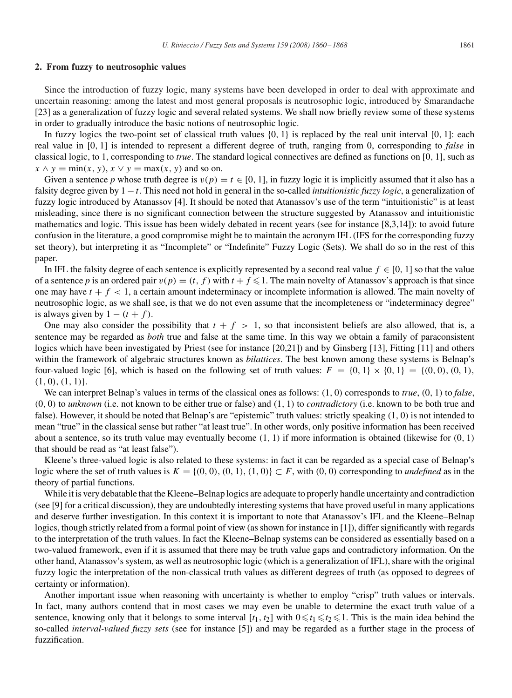#### **2. From fuzzy to neutrosophic values**

Since the introduction of fuzzy logic, many systems have been developed in order to deal with approximate and uncertain reasoning: among the latest and most general proposals is neutrosophic logic, introduced by Smarandache [\[23\]](#page-8-0) as a generalization of fuzzy logic and several related systems. We shall now briefly review some of these systems in order to gradually introduce the basic notions of neutrosophic logic.

In fuzzy logics the two-point set of classical truth values  $\{0, 1\}$  is replaced by the real unit interval  $[0, 1]$ : each real value in [0, 1] is intended to represent a different degree of truth, ranging from 0, corresponding to *false* in classical logic, to 1, corresponding to *true*. The standard logical connectives are defined as functions on [0, 1], such as  $x \wedge y = \min(x, y), x \vee y = \max(x, y)$  and so on.

Given a sentence *p* whose truth degree is  $v(p) = t \in [0, 1]$ , in fuzzy logic it is implicitly assumed that it also has a falsity degree given by 1−t. This need not hold in general in the so-called *intuitionistic fuzzy logic*, a generalization of fuzzy logic introduced by Atanassov [\[4\].](#page-7-0) It should be noted that Atanassov's use of the term "intuitionistic" is at least misleading, since there is no significant connection between the structure suggested by Atanassov and intuitionistic mathematics and logic. This issue has been widely debated in recent years (see for instance [\[8,](#page-8-0)[3,](#page-7-0)[14\]\)](#page-8-0): to avoid future confusion in the literature, a good compromise might be to maintain the acronym IFL (IFS for the corresponding fuzzy set theory), but interpreting it as "Incomplete" or "Indefinite" Fuzzy Logic (Sets). We shall do so in the rest of this paper.

In IFL the falsity degree of each sentence is explicitly represented by a second real value  $f \in [0, 1]$  so that the value of a sentence p is an ordered pair  $v(p) = (t, f)$  with  $t + f \leq 1$ . The main novelty of Atanassov's approach is that since one may have  $t + f < 1$ , a certain amount indeterminacy or incomplete information is allowed. The main novelty of neutrosophic logic, as we shall see, is that we do not even assume that the incompleteness or "indeterminacy degree" is always given by  $1 - (t + f)$ .

One may also consider the possibility that  $t + f > 1$ , so that inconsistent beliefs are also allowed, that is, a sentence may be regarded as *both* true and false at the same time. In this way we obtain a family of paraconsistent logics which have been investigated by Priest (see for instance [\[20,21\]\)](#page-8-0) and by Ginsberg [\[13\],](#page-8-0) Fitting [\[11\]](#page-8-0) and others within the framework of algebraic structures known as *bilattices*. The best known among these systems is Belnap's four-valued logic [\[6\],](#page-7-0) which is based on the following set of truth values:  $F = \{0, 1\} \times \{0, 1\} = \{(0, 0), (0, 1),$  $(1, 0), (1, 1)$ .

We can interpret Belnap's values in terms of the classical ones as follows: (1, 0) corresponds to *true*, (0, 1) to *false*, (0, 0) to *unknown* (i.e. not known to be either true or false) and (1, 1) to *contradictory* (i.e. known to be both true and false). However, it should be noted that Belnap's are "epistemic" truth values: strictly speaking (1, 0) is not intended to mean "true" in the classical sense but rather "at least true". In other words, only positive information has been received about a sentence, so its truth value may eventually become  $(1, 1)$  if more information is obtained (likewise for  $(0, 1)$ ) that should be read as "at least false").

Kleene's three-valued logic is also related to these systems: in fact it can be regarded as a special case of Belnap's logic where the set of truth values is  $K = \{(0, 0), (0, 1), (1, 0)\}\subset F$ , with  $(0, 0)$  corresponding to *undefined* as in the theory of partial functions.

While it is very debatable that the Kleene–Belnap logics are adequate to properly handle uncertainty and contradiction (see [\[9\]](#page-8-0) for a critical discussion), they are undoubtedly interesting systems that have proved useful in many applications and deserve further investigation. In this context it is important to note that Atanassov's IFL and the Kleene–Belnap logics, though strictly related from a formal point of view (as shown for instance in [\[1\]\)](#page-7-0), differ significantly with regards to the interpretation of the truth values. In fact the Kleene–Belnap systems can be considered as essentially based on a two-valued framework, even if it is assumed that there may be truth value gaps and contradictory information. On the other hand, Atanassov's system, as well as neutrosophic logic (which is a generalization of IFL), share with the original fuzzy logic the interpretation of the non-classical truth values as different degrees of truth (as opposed to degrees of certainty or information).

Another important issue when reasoning with uncertainty is whether to employ "crisp" truth values or intervals. In fact, many authors contend that in most cases we may even be unable to determine the exact truth value of a sentence, knowing only that it belongs to some interval  $[t_1, t_2]$  with  $0 \le t_1 \le t_2 \le 1$ . This is the main idea behind the so-called *interval-valued fuzzy sets* (see for instance [\[5\]\)](#page-7-0) and may be regarded as a further stage in the process of fuzzification.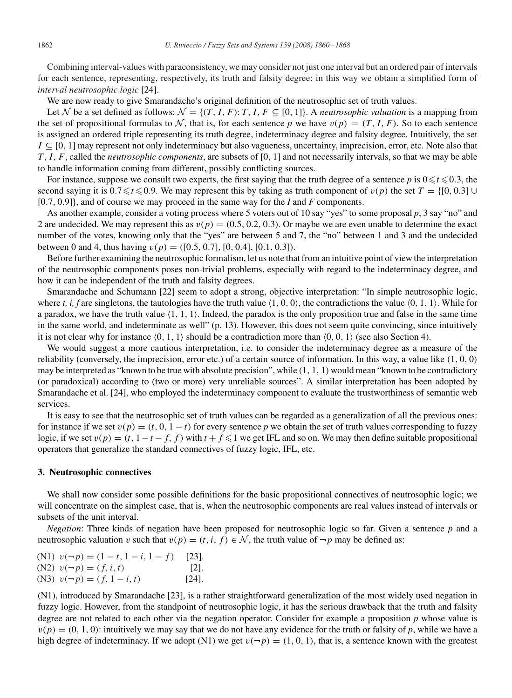Combining interval-values with paraconsistency, we may consider not just one interval but an ordered pair of intervals for each sentence, representing, respectively, its truth and falsity degree: in this way we obtain a simplified form of *interval neutrosophic logic* [\[24\].](#page-8-0)

We are now ready to give Smarandache's original definition of the neutrosophic set of truth values.

Let N be a set defined as follows:  $N = \{(T, I, F): T, I, F \subseteq [0, 1]\}$ . A *neutrosophic valuation* is a mapping from the set of propositional formulas to N, that is, for each sentence p we have  $v(p) = (T, I, F)$ . So to each sentence is assigned an ordered triple representing its truth degree, indeterminacy degree and falsity degree. Intuitively, the set  $I \subseteq [0, 1]$  may represent not only indeterminacy but also vagueness, uncertainty, imprecision, error, etc. Note also that T,I,F, called the *neutrosophic components*, are subsets of [0, 1] and not necessarily intervals, so that we may be able to handle information coming from different, possibly conflicting sources.

For instance, suppose we consult two experts, the first saying that the truth degree of a sentence  $p$  is  $0 \le t \le 0.3$ , the second saying it is 0.7  $\le t \le 0.9$ . We may represent this by taking as truth component of  $v(p)$  the set  $T = \{[0, 0.3] \cup [0, 0.5] \}$ [0.7, 0.9]}, and of course we may proceed in the same way for the *I* and *F* components.

As another example, consider a voting process where 5 voters out of 10 say "yes" to some proposal *p*, 3 say "no" and 2 are undecided. We may represent this as  $v(p) = (0.5, 0.2, 0.3)$ . Or maybe we are even unable to determine the exact number of the votes, knowing only that the "yes" are between 5 and 7, the "no" between 1 and 3 and the undecided between 0 and 4, thus having  $v(p) = ([0.5, 0.7], [0, 0.4], [0.1, 0.3]).$ 

Before further examining the neutrosophic formalism, let us note that from an intuitive point of view the interpretation of the neutrosophic components poses non-trivial problems, especially with regard to the indeterminacy degree, and how it can be independent of the truth and falsity degrees.

Smarandache and Schumann [\[22\]](#page-8-0) seem to adopt a strong, objective interpretation: "In simple neutrosophic logic, where *t*, *i*, *f* are singletons, the tautologies have the truth value  $\langle 1, 0, 0 \rangle$ , the contradictions the value  $\langle 0, 1, 1 \rangle$ . While for a paradox, we have the truth value  $\langle 1, 1, 1 \rangle$ . Indeed, the paradox is the only proposition true and false in the same time in the same world, and indeterminate as well" (p. 13). However, this does not seem quite convincing, since intuitively it is not clear why for instance  $(0, 1, 1)$  should be a contradiction more than  $(0, 0, 1)$  (see also Section 4).

We would suggest a more cautious interpretation, i.e. to consider the indeterminacy degree as a measure of the reliability (conversely, the imprecision, error etc.) of a certain source of information. In this way, a value like  $(1, 0, 0)$ may be interpreted as "known to be true with absolute precision", while  $(1, 1, 1)$  would mean "known to be contradictory" (or paradoxical) according to (two or more) very unreliable sources". A similar interpretation has been adopted by Smarandache et al. [\[24\],](#page-8-0) who employed the indeterminacy component to evaluate the trustworthiness of semantic web services.

It is easy to see that the neutrosophic set of truth values can be regarded as a generalization of all the previous ones: for instance if we set  $v(p) = (t, 0, 1 - t)$  for every sentence p we obtain the set of truth values corresponding to fuzzy logic, if we set  $v(p) = (t, 1-t-f, f)$  with  $t + f \leq 1$  we get IFL and so on. We may then define suitable propositional operators that generalize the standard connectives of fuzzy logic, IFL, etc.

#### **3. Neutrosophic connectives**

We shall now consider some possible definitions for the basic propositional connectives of neutrosophic logic; we will concentrate on the simplest case, that is, when the neutrosophic components are real values instead of intervals or subsets of the unit interval.

*Negation*: Three kinds of negation have been proposed for neutrosophic logic so far. Given a sentence *p* and a neutrosophic valuation v such that  $v(p) = (t, i, f) \in \mathcal{N}$ , the truth value of  $\neg p$  may be defined as:

(N1)  $v(\neg p) = (1 - t, 1 - i, 1 - f)$  [\[23\].](#page-8-0) (N2)  $v(\neg p) = (f, i, t)$  [\[2\].](#page-7-0) (N3)  $v(\neg p) = (f, 1 - i, t)$  [\[24\].](#page-8-0)

(N1), introduced by Smarandache [\[23\],](#page-8-0) is a rather straightforward generalization of the most widely used negation in fuzzy logic. However, from the standpoint of neutrosophic logic, it has the serious drawback that the truth and falsity degree are not related to each other via the negation operator. Consider for example a proposition *p* whose value is  $v(p) = (0, 1, 0)$ : intuitively we may say that we do not have any evidence for the truth or falsity of p, while we have a high degree of indeterminacy. If we adopt (N1) we get  $v(-p) = (1, 0, 1)$ , that is, a sentence known with the greatest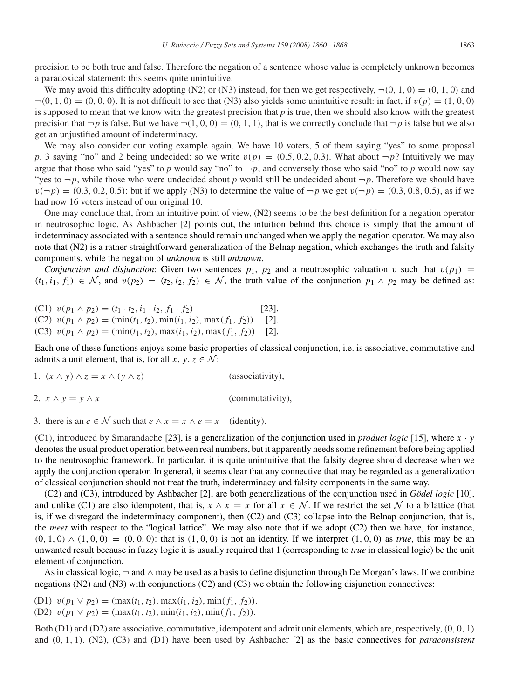precision to be both true and false. Therefore the negation of a sentence whose value is completely unknown becomes a paradoxical statement: this seems quite unintuitive.

We may avoid this difficulty adopting (N2) or (N3) instead, for then we get respectively,  $\neg (0, 1, 0) = (0, 1, 0)$  and  $\neg(0, 1, 0) = (0, 0, 0)$ . It is not difficult to see that (N3) also yields some unintuitive result: in fact, if  $\nu(p) = (1, 0, 0)$ is supposed to mean that we know with the greatest precision that *p* is true, then we should also know with the greatest precision that  $\neg p$  is false. But we have  $\neg (1, 0, 0) = (0, 1, 1)$ , that is we correctly conclude that  $\neg p$  is false but we also get an unjustified amount of indeterminacy.

We may also consider our voting example again. We have 10 voters, 5 of them saying "yes" to some proposal *p*, 3 saying "no" and 2 being undecided: so we write  $v(p) = (0.5, 0.2, 0.3)$ . What about  $\neg p$ ? Intuitively we may argue that those who said "yes" to *p* would say "no" to  $\neg p$ , and conversely those who said "no" to *p* would now say "yes to  $\neg p$ , while those who were undecided about p would still be undecided about  $\neg p$ . Therefore we should have  $v(\neg p) = (0.3, 0.2, 0.5)$ : but if we apply (N3) to determine the value of  $\neg p$  we get  $v(\neg p) = (0.3, 0.8, 0.5)$ , as if we had now 16 voters instead of our original 10.

One may conclude that, from an intuitive point of view, (N2) seems to be the best definition for a negation operator in neutrosophic logic. As Ashbacher [\[2\]](#page-7-0) points out, the intuition behind this choice is simply that the amount of indeterminacy associated with a sentence should remain unchanged when we apply the negation operator. We may also note that (N2) is a rather straightforward generalization of the Belnap negation, which exchanges the truth and falsity components, while the negation of *unknown* is still *unknown*.

*Conjunction and disjunction*: Given two sentences  $p_1$ ,  $p_2$  and a neutrosophic valuation v such that  $v(p_1)$  =  $(t_1, i_1, f_1) \in \mathcal{N}$ , and  $v(p_2) = (t_2, i_2, f_2) \in \mathcal{N}$ , the truth value of the conjunction  $p_1 \wedge p_2$  may be defined as:

| (C1) $v(p_1 \wedge p_2) = (t_1 \cdot t_2, i_1 \cdot i_2, f_1 \cdot f_2)$         | [23]. |
|----------------------------------------------------------------------------------|-------|
| (C2) $v(p_1 \wedge p_2) = (\min(t_1, t_2), \min(t_1, t_2), \max(t_1, t_2))$ [2]. |       |
| (C3) $v(p_1 \wedge p_2) = (\min(t_1, t_2), \max(t_1, t_2), \max(t_1, t_2))$ [2]. |       |

Each one of these functions enjoys some basic properties of classical conjunction, i.e. is associative, commutative and admits a unit element, that is, for all  $x, y, z \in \mathcal{N}$ :

1. 
$$
(x \wedge y) \wedge z = x \wedge (y \wedge z)
$$
 (associativity),

2.  $x \wedge y = y \wedge x$  (commutativity),

3. there is an  $e \in \mathcal{N}$  such that  $e \wedge x = x \wedge e = x$  (identity).

(C1), introduced by Smarandache [\[23\],](#page-8-0) is a generalization of the conjunction used in *product logic* [\[15\],](#page-8-0) where  $x \cdot y$ denotes the usual product operation between real numbers, but it apparently needs some refinement before being applied to the neutrosophic framework. In particular, it is quite unintuitive that the falsity degree should decrease when we apply the conjunction operator. In general, it seems clear that any connective that may be regarded as a generalization of classical conjunction should not treat the truth, indeterminacy and falsity components in the same way.

(C2) and (C3), introduced by Ashbacher [\[2\],](#page-7-0) are both generalizations of the conjunction used in *Gödel logic* [\[10\],](#page-8-0) and unlike (C1) are also idempotent, that is,  $x \wedge x = x$  for all  $x \in \mathcal{N}$ . If we restrict the set N to a bilattice (that is, if we disregard the indeterminacy component), then (C2) and (C3) collapse into the Belnap conjunction, that is, the *meet* with respect to the "logical lattice". We may also note that if we adopt (C2) then we have, for instance,  $(0, 1, 0) \wedge (1, 0, 0) = (0, 0, 0)$ : that is  $(1, 0, 0)$  is not an identity. If we interpret  $(1, 0, 0)$  as *true*, this may be an unwanted result because in fuzzy logic it is usually required that 1 (corresponding to *true* in classical logic) be the unit element of conjunction.

As in classical logic,  $\neg$  and  $\wedge$  may be used as a basis to define disjunction through De Morgan's laws. If we combine negations  $(N2)$  and  $(N3)$  with conjunctions  $(C2)$  and  $(C3)$  we obtain the following disjunction connectives:

- (D1)  $v(p_1 \vee p_2) = (\max(t_1, t_2), \max(t_1, t_2), \min(t_1, t_2)).$
- (D2)  $v(p_1 \vee p_2) = (\max(t_1, t_2), \min(t_1, t_2), \min(f_1, f_2)).$

Both (D1) and (D2) are associative, commutative, idempotent and admit unit elements, which are, respectively,(0, 0, 1) and (0, 1, 1). (N2), (C3) and (D1) have been used by Ashbacher [\[2\]](#page-7-0) as the basic connectives for *paraconsistent*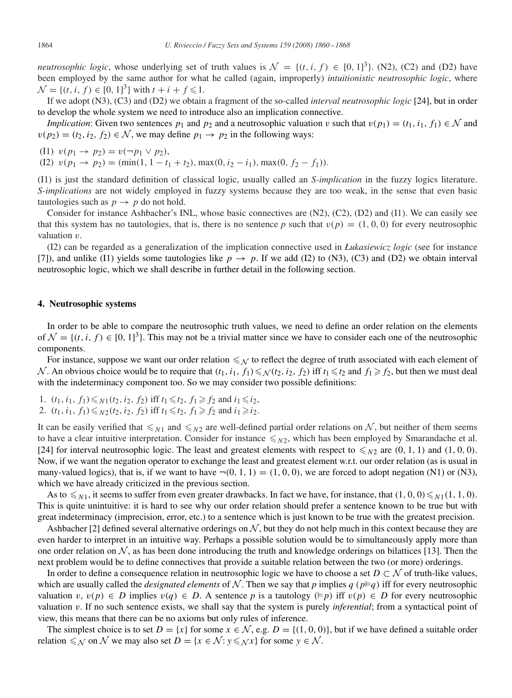*neutrosophic logic*, whose underlying set of truth values is  $\mathcal{N} = \{(t, i, f) \in [0, 1]^3\}$ . (N2), (C2) and (D2) have been employed by the same author for what he called (again, improperly) *intuitionistic neutrosophic logic*, where  $\mathcal{N} = \{(t, i, f) \in [0, 1]^3\}$  with  $t + i + f \leq 1$ .

If we adopt (N3), (C3) and (D2) we obtain a fragment of the so-called *interval neutrosophic logic* [\[24\],](#page-8-0) but in order to develop the whole system we need to introduce also an implication connective.

*Implication*: Given two sentences  $p_1$  and  $p_2$  and a neutrosophic valuation v such that  $v(p_1) = (t_1, i_1, f_1) \in \mathcal{N}$  and  $v(p_2) = (t_2, i_2, f_2) \in \mathcal{N}$ , we may define  $p_1 \rightarrow p_2$  in the following ways:

(I1)  $v(p_1 \rightarrow p_2) = v(\neg p_1 \lor p_2),$ 

(I2)  $v(p_1 \rightarrow p_2) = (\min(1, 1 - t_1 + t_2), \max(0, t_2 - t_1), \max(0, t_2 - t_1)).$ 

(I1) is just the standard definition of classical logic, usually called an *S-implication* in the fuzzy logics literature. *S-implications* are not widely employed in fuzzy systems because they are too weak, in the sense that even basic tautologies such as  $p \rightarrow p$  do not hold.

Consider for instance Ashbacher's INL, whose basic connectives are (N2), (C2), (D2) and (I1). We can easily see that this system has no tautologies, that is, there is no sentence *p* such that  $v(p) = (1, 0, 0)$  for every neutrosophic valuation v.

(I2) can be regarded as a generalization of the implication connective used in *Łukasiewicz logic* (see for instance [\[7\]\)](#page-7-0), and unlike (I1) yields some tautologies like  $p \to p$ . If we add (I2) to (N3), (C3) and (D2) we obtain interval neutrosophic logic, which we shall describe in further detail in the following section.

## **4. Neutrosophic systems**

In order to be able to compare the neutrosophic truth values, we need to define an order relation on the elements of  $\mathcal{N} = \{(t, i, f) \in [0, 1]^3\}$ . This may not be a trivial matter since we have to consider each one of the neutrosophic components.

For instance, suppose we want our order relation  $\leq \mathcal{N}$  to reflect the degree of truth associated with each element of N. An obvious choice would be to require that  $(t_1, i_1, f_1) \leq \mathcal{N}(t_2, i_2, f_2)$  iff  $t_1 \leq t_2$  and  $f_1 \geq f_2$ , but then we must deal with the indeterminacy component too. So we may consider two possible definitions:

- 1.  $(t_1, i_1, f_1) \leq N_1(t_2, i_2, f_2)$  iff  $t_1 \leq t_2, f_1 \geq f_2$  and  $i_1 \leq i_2$ ,
- 2.  $(t_1, i_1, f_1) \leq N_2(t_2, i_2, f_2)$  iff  $t_1 \leq t_2, f_1 \geq f_2$  and  $i_1 \geq i_2$ .

It can be easily verified that  $\leq_{N1}$  and  $\leq_{N2}$  are well-defined partial order relations on  $N$ , but neither of them seems to have a clear intuitive interpretation. Consider for instance  $\leq N_2$ , which has been employed by Smarandache et al. [\[24\]](#page-8-0) for interval neutrosophic logic. The least and greatest elements with respect to  $\leq N^2$  are  $(0, 1, 1)$  and  $(1, 0, 0)$ . Now, if we want the negation operator to exchange the least and greatest element w.r.t. our order relation (as is usual in many-valued logics), that is, if we want to have  $\neg(0, 1, 1) = (1, 0, 0)$ , we are forced to adopt negation (N1) or (N3), which we have already criticized in the previous section.

As to  $\leq N_1$ , it seems to suffer from even greater drawbacks. In fact we have, for instance, that  $(1,0,0) \leq N_1(1,1,0)$ . This is quite unintuitive: it is hard to see why our order relation should prefer a sentence known to be true but with great indeterminacy (imprecision, error, etc.) to a sentence which is just known to be true with the greatest precision.

Ashbacher [\[2\]](#page-7-0) defined several alternative orderings on  $N$ , but they do not help much in this context because they are even harder to interpret in an intuitive way. Perhaps a possible solution would be to simultaneously apply more than one order relation on  $N$ , as has been done introducing the truth and knowledge orderings on bilattices [\[13\].](#page-8-0) Then the next problem would be to define connectives that provide a suitable relation between the two (or more) orderings.

In order to define a consequence relation in neutrosophic logic we have to choose a set  $D \subset \mathcal{N}$  of truth-like values, which are usually called the *designated elements* of N. Then we say that p implies  $q(p \models q)$  iff for every neutrosophic valuation  $v, v(p) \in D$  implies  $v(q) \in D$ . A sentence p is a tautology ( $\models p$ ) iff  $v(p) \in D$  for every neutrosophic valuation v. If no such sentence exists, we shall say that the system is purely *inferential*; from a syntactical point of view, this means that there can be no axioms but only rules of inference.

The simplest choice is to set  $D = \{x\}$  for some  $x \in \mathcal{N}$ , e.g.  $D = \{(1, 0, 0)\}\$ , but if we have defined a suitable order relation  $\leq_N$  on N we may also set  $D = \{x \in \mathcal{N} : y \leq_N x\}$  for some  $y \in \mathcal{N}$ .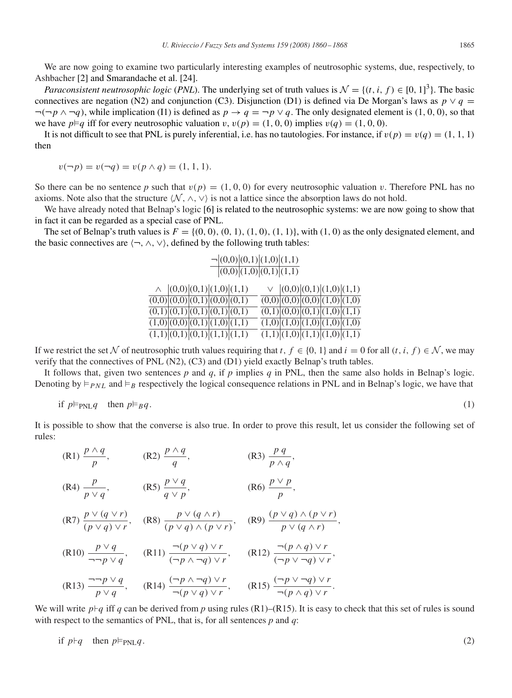<span id="page-5-0"></span>We are now going to examine two particularly interesting examples of neutrosophic systems, due, respectively, to Ashbacher [\[2\]](#page-7-0) and Smarandache et al. [\[24\].](#page-8-0)

*Paraconsistent neutrosophic logic (PNL)*. The underlying set of truth values is  $\mathcal{N} = \{(t, i, f) \in [0, 1]^3\}$ . The basic connectives are negation (N2) and conjunction (C3). Disjunction (D1) is defined via De Morgan's laws as  $p \vee q =$  $\neg(\neg p \land \neg q)$ , while implication (I1) is defined as  $p \to q = \neg p \lor q$ . The only designated element is (1, 0, 0), so that we have  $p \models q$  iff for every neutrosophic valuation v,  $v(p) = (1, 0, 0)$  implies  $v(q) = (1, 0, 0)$ .

It is not difficult to see that PNL is purely inferential, i.e. has no tautologies. For instance, if  $v(p) = v(q) = (1, 1, 1)$ then

$$
v(\neg p) = v(\neg q) = v(p \land q) = (1, 1, 1).
$$

So there can be no sentence p such that  $v(p) = (1, 0, 0)$  for every neutrosophic valuation v. Therefore PNL has no axioms. Note also that the structure  $\langle \mathcal{N}, \wedge, \vee \rangle$  is not a lattice since the absorption laws do not hold.

We have already noted that Belnap's logic [\[6\]](#page-7-0) is related to the neutrosophic systems: we are now going to show that in fact it can be regarded as a special case of PNL.

The set of Belnap's truth values is  $F = \{(0, 0), (0, 1), (1, 0), (1, 1)\}\$ , with  $(1, 0)$  as the only designated element, and the basic connectives are  $\langle \neg, \wedge, \vee \rangle$ , defined by the following truth tables:

|                         |  |                                                    |  |  |  | $\lnot  (0,0) (0,1) (1,0) (1,1)$ |                                                              |  |  |
|-------------------------|--|----------------------------------------------------|--|--|--|----------------------------------|--------------------------------------------------------------|--|--|
| (0,0) (1,0) (0,1) (1,1) |  |                                                    |  |  |  |                                  |                                                              |  |  |
|                         |  | $\wedge$ $ (0,0) (0,1) (1,0) (1,1)$                |  |  |  |                                  | $\vee$ $ (0,0)(0,1)(1,0)(1,1)$                               |  |  |
|                         |  | (0,0)(0,0)(0,1)(0,0)(0,1)                          |  |  |  |                                  | $\overline{(0,0)(0,0)(0,0)(1,0)(1,0)}$                       |  |  |
|                         |  | $(0,1)$ $(0,1)$ $(0,1)$ $(0,1)$ $(0,1)$            |  |  |  |                                  | $\overline{(0,1)}(0,0)(0,1)(1,0)(1,1)$                       |  |  |
|                         |  | $(1,0)$ $(0,0)$ $(0,\overline{1})$ $(1,0)$ $(1,1)$ |  |  |  |                                  | $(1,0)$ $(1,0)$ $(1,0)$ $(1,0)$ $(1,0)$                      |  |  |
|                         |  | (1,1) (0,1) (0,1) (1,1) (1,1)                      |  |  |  |                                  | $\overline{(1,1)}(1,0)\overline{(1,1)}(1,0)\overline{(1,1)}$ |  |  |

If we restrict the set N of neutrosophic truth values requiring that t,  $f \in \{0, 1\}$  and  $i = 0$  for all  $(t, i, f) \in \mathcal{N}$ , we may verify that the connectives of PNL (N2), (C3) and (D1) yield exactly Belnap's truth tables.

It follows that, given two sentences  $p$  and  $q$ , if  $p$  implies  $q$  in PNL, then the same also holds in Belnap's logic. Denoting by  $\models_{PNL}$  and  $\models_B$  respectively the logical consequence relations in PNL and in Belnap's logic, we have that

$$
\text{if } p \vDash_{\text{PNL}} q \quad \text{then } p \vDash_B q. \tag{1}
$$

It is possible to show that the converse is also true. In order to prove this result, let us consider the following set of rules:

(R1) 
$$
\frac{p \wedge q}{p}
$$
, (R2)  $\frac{p \wedge q}{q}$ , (R3)  $\frac{pq}{p \wedge q}$ ,  
\n(R4)  $\frac{p}{p \vee q}$ , (R5)  $\frac{p \vee q}{q \vee p}$ , (R6)  $\frac{p \vee p}{p}$ ,  
\n(R7)  $\frac{p \vee (q \vee r)}{(p \vee q) \vee r}$ , (R8)  $\frac{p \vee (q \wedge r)}{(p \vee q) \wedge (p \vee r)}$ , (R9)  $\frac{(p \vee q) \wedge (p \vee r)}{p \vee (q \wedge r)}$ ,  
\n(R10)  $\frac{p \vee q}{\neg \neg p \vee q}$ , (R11)  $\frac{\neg (p \vee q) \vee r}{(\neg p \wedge \neg q) \vee r}$ , (R12)  $\frac{\neg (p \wedge q) \vee r}{(\neg p \vee \neg q) \vee r}$ ,  
\n(R13)  $\frac{\neg \neg p \vee q}{p \vee q}$ , (R14)  $\frac{(\neg p \wedge \neg q) \vee r}{\neg (p \vee q) \vee r}$ , (R15)  $\frac{(\neg p \vee \neg q) \vee r}{\neg (p \wedge q) \vee r}$ .

We will write  $p \nmid q$  iff q can be derived from p using rules (R1)–(R15). It is easy to check that this set of rules is sound with respect to the semantics of PNL, that is, for all sentences *p* and *q*:

if 
$$
p \vdash q
$$
 then  $p \vDash_{PNL} q$ . (2)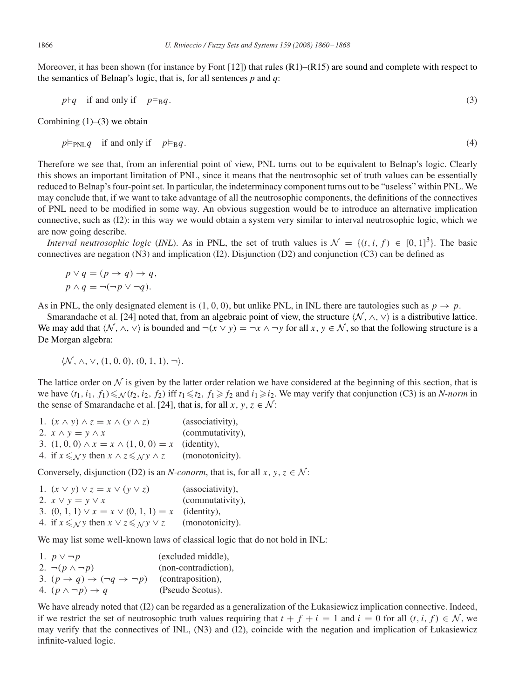Moreover, it has been shown (for instance by Font  $[12]$ ) that rules  $(R1)$ – $(R15)$  are sound and complete with respect to the semantics of Belnap's logic, that is, for all sentences *p* and *q*:

$$
p \vdash q \quad \text{if and only if} \quad p \vDash_{\mathbf{B}} q. \tag{3}
$$

Combining  $(1)$ – $(3)$  we obtain

 $p \vDash_{\text{PNL}} q$  if and only if  $p \vDash_{\text{R}} q$ . (4)

Therefore we see that, from an inferential point of view, PNL turns out to be equivalent to Belnap's logic. Clearly this shows an important limitation of PNL, since it means that the neutrosophic set of truth values can be essentially reduced to Belnap's four-point set. In particular, the indeterminacy component turns out to be "useless" within PNL. We may conclude that, if we want to take advantage of all the neutrosophic components, the definitions of the connectives of PNL need to be modified in some way. An obvious suggestion would be to introduce an alternative implication connective, such as (I2): in this way we would obtain a system very similar to interval neutrosophic logic, which we are now going describe.

*Interval neutrosophic logic (INL)*. As in PNL, the set of truth values is  $\mathcal{N} = \{(t, i, f) \in [0, 1]^3\}$ . The basic connectives are negation (N3) and implication (I2). Disjunction (D2) and conjunction (C3) can be defined as

 $p \vee q = (p \rightarrow q) \rightarrow q$ ,  $p \wedge q = \neg(\neg p \vee \neg q).$ 

As in PNL, the only designated element is (1, 0, 0), but unlike PNL, in INL there are tautologies such as  $p \to p$ .

Smarandache et al. [\[24\]](#page-8-0) noted that, from an algebraic point of view, the structure  $\langle N, \wedge, \vee \rangle$  is a distributive lattice. We may add that  $\langle \mathcal{N}, \wedge, \vee \rangle$  is bounded and  $\neg(x \vee y) = \neg x \wedge \neg y$  for all  $x, y \in \mathcal{N}$ , so that the following structure is a De Morgan algebra:

 $\langle \mathcal{N}, \wedge, \vee, (1, 0, 0), (0, 1, 1), \neg \rangle.$ 

The lattice order on  $\mathcal N$  is given by the latter order relation we have considered at the beginning of this section, that is we have  $(t_1, i_1, f_1) \leq \mathcal{N}(t_2, i_2, f_2)$  iff  $t_1 \leq t_2$ ,  $f_1 \geq f_2$  and  $i_1 \geq i_2$ . We may verify that conjunction (C3) is an *N-norm* in the sense of Smarandache et al. [\[24\],](#page-8-0) that is, for all  $x, y, z \in \mathcal{N}$ :

| 1. $(x \wedge y) \wedge z = x \wedge (y \wedge z)$                             | (associativity), |
|--------------------------------------------------------------------------------|------------------|
| 2. $x \wedge y = y \wedge x$                                                   | (commutativity), |
| 3. $(1, 0, 0) \wedge x = x \wedge (1, 0, 0) = x$ (identity),                   |                  |
| 4. if $x \leq_{\mathcal{N}} y$ then $x \wedge z \leq_{\mathcal{N}} y \wedge z$ | (monotonicity).  |
|                                                                                |                  |

Conversely, disjunction (D2) is an *N-conorm*, that is, for all  $x, y, z \in \mathcal{N}$ :

| 1. $(x \vee y) \vee z = x \vee (y \vee z)$                                 | (associativity), |
|----------------------------------------------------------------------------|------------------|
| 2. $x \vee y = y \vee x$                                                   | (commutativity), |
| 3. $(0, 1, 1) \vee x = x \vee (0, 1, 1) = x$ (identity),                   |                  |
| 4. if $x \leq_{\mathcal{N}} y$ then $x \vee z \leq_{\mathcal{N}} y \vee z$ | (monotonicity).  |

We may list some well-known laws of classical logic that do not hold in INL:

| 1. $p \vee \neg p$                                             | (excluded middle),   |
|----------------------------------------------------------------|----------------------|
| 2. $\neg(p \wedge \neg p)$                                     | (non-contradiction), |
| 3. $(p \rightarrow q) \rightarrow (\neg q \rightarrow \neg p)$ | (contraposition),    |
| 4. $(p \wedge \neg p) \rightarrow q$                           | (Pseudo Scotus).     |

We have already noted that (I2) can be regarded as a generalization of the Łukasiewicz implication connective. Indeed, if we restrict the set of neutrosophic truth values requiring that  $t + f + i = 1$  and  $i = 0$  for all  $(t, i, f) \in \mathcal{N}$ , we may verify that the connectives of INL, (N3) and (I2), coincide with the negation and implication of Łukasiewicz infinite-valued logic.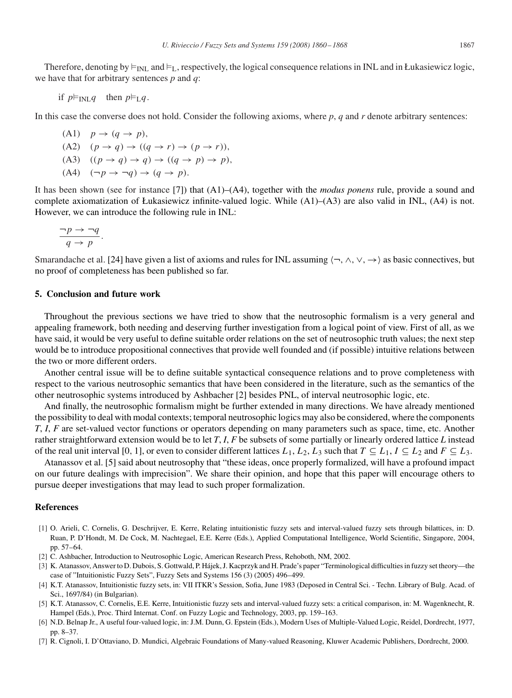<span id="page-7-0"></span>Therefore, denoting by  $\models_{\text{INL}}$  and  $\models_{\text{L}}$ , respectively, the logical consequence relations in INL and in Łukasiewicz logic, we have that for arbitrary sentences *p* and *q*:

if 
$$
p \vDash_{\text{INL}} q
$$
 then  $p \vDash_{\text{L}} q$ .

In this case the converse does not hold. Consider the following axioms, where *p*, *q* and *r* denote arbitrary sentences:

\n- (A1) 
$$
p \rightarrow (q \rightarrow p),
$$
\n- (A2)  $(p \rightarrow q) \rightarrow ((q \rightarrow r) \rightarrow (p \rightarrow r)),$
\n- (A3)  $((p \rightarrow q) \rightarrow q) \rightarrow ((q \rightarrow p) \rightarrow p),$
\n- (A4)  $(\neg p \rightarrow \neg q) \rightarrow (q \rightarrow p).$
\n

It has been shown (see for instance [7]) that (A1)–(A4), together with the *modus ponens* rule, provide a sound and complete axiomatization of Łukasiewicz infinite-valued logic. While (A1)–(A3) are also valid in INL, (A4) is not. However, we can introduce the following rule in INL:

$$
\frac{\neg p \to \neg q}{q \to p}.
$$

Smarandache et al. [\[24\]](#page-8-0) have given a list of axioms and rules for INL assuming  $\langle \neg, \land, \lor, \rightarrow \rangle$  as basic connectives, but no proof of completeness has been published so far.

#### **5. Conclusion and future work**

Throughout the previous sections we have tried to show that the neutrosophic formalism is a very general and appealing framework, both needing and deserving further investigation from a logical point of view. First of all, as we have said, it would be very useful to define suitable order relations on the set of neutrosophic truth values; the next step would be to introduce propositional connectives that provide well founded and (if possible) intuitive relations between the two or more different orders.

Another central issue will be to define suitable syntactical consequence relations and to prove completeness with respect to the various neutrosophic semantics that have been considered in the literature, such as the semantics of the other neutrosophic systems introduced by Ashbacher [2] besides PNL, of interval neutrosophic logic, etc.

And finally, the neutrosophic formalism might be further extended in many directions. We have already mentioned the possibility to deal with modal contexts; temporal neutrosophic logics may also be considered, where the components *T*, *I*, *F* are set-valued vector functions or operators depending on many parameters such as space, time, etc. Another rather straightforward extension would be to let *T*, *I*, *F* be subsets of some partially or linearly ordered lattice *L* instead of the real unit interval [0, 1], or even to consider different lattices  $L_1, L_2, L_3$  such that  $T \subseteq L_1$ ,  $I \subseteq L_2$  and  $F \subseteq L_3$ .

Atanassov et al. [5] said about neutrosophy that "these ideas, once properly formalized, will have a profound impact on our future dealings with imprecision". We share their opinion, and hope that this paper will encourage others to pursue deeper investigations that may lead to such proper formalization.

## **References**

- [1] O. Arieli, C. Cornelis, G. Deschrijver, E. Kerre, Relating intuitionistic fuzzy sets and interval-valued fuzzy sets through bilattices, in: D. Ruan, P. D'Hondt, M. De Cock, M. Nachtegael, E.E. Kerre (Eds.), Applied Computational Intelligence, World Scientific, Singapore, 2004, pp. 57–64.
- [2] C. Ashbacher, Introduction to Neutrosophic Logic, American Research Press, Rehoboth, NM, 2002.
- [3] K. Atanassov, Answer to D. Dubois, S. Gottwald, P. Hájek, J. Kacprzyk and H. Prade's paper "Terminological difficulties in fuzzy set theory—the case of "Intuitionistic Fuzzy Sets", Fuzzy Sets and Systems 156 (3) (2005) 496–499.
- [4] K.T. Atanassov, Intuitionistic fuzzy sets, in: VII ITKR's Session, Sofia, June 1983 (Deposed in Central Sci. Techn. Library of Bulg. Acad. of Sci., 1697/84) (in Bulgarian).
- [5] K.T. Atanassov, C. Cornelis, E.E. Kerre, Intuitionistic fuzzy sets and interval-valued fuzzy sets: a critical comparison, in: M. Wagenknecht, R. Hampel (Eds.), Proc. Third Internat. Conf. on Fuzzy Logic and Technology, 2003, pp. 159–163.
- [6] N.D. Belnap Jr., A useful four-valued logic, in: J.M. Dunn, G. Epstein (Eds.), Modern Uses of Multiple-Valued Logic, Reidel, Dordrecht, 1977, pp. 8–37.
- [7] R. Cignoli, I. D'Ottaviano, D. Mundici, Algebraic Foundations of Many-valued Reasoning, Kluwer Academic Publishers, Dordrecht, 2000.